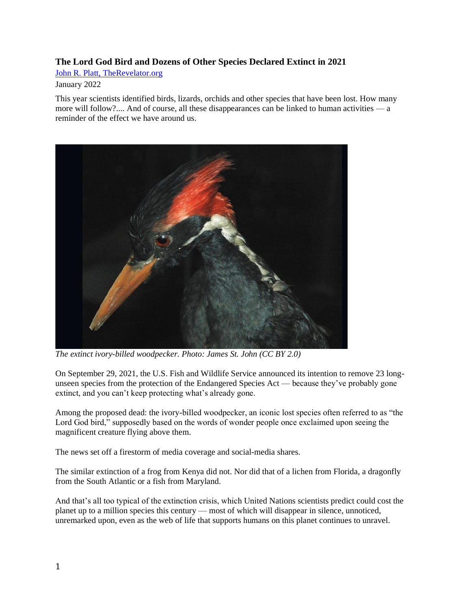## **The Lord God Bird and Dozens of Other Species Declared Extinct in 2021**

[John R. Platt, TheRevelator.org](https://therevelator.org/)

## January 2022

This year scientists identified birds, lizards, orchids and other species that have been lost. How many more will follow?.... And of course, all these disappearances can be linked to human activities — a reminder of the effect we have around us.



*The extinct ivory-billed woodpecker. Photo: James St. John (CC BY 2.0)*

On September 29, 2021, the U.S. Fish and Wildlife Service announced its intention to remove 23 longunseen species from the protection of the Endangered Species Act — because they've probably gone extinct, and you can't keep protecting what's already gone.

Among the proposed dead: the ivory-billed woodpecker, an iconic lost species often referred to as "the Lord God bird," supposedly based on the words of wonder people once exclaimed upon seeing the magnificent creature flying above them.

The news set off a firestorm of media coverage and social-media shares.

The similar extinction of a frog from Kenya did not. Nor did that of a lichen from Florida, a dragonfly from the South Atlantic or a fish from Maryland.

And that's all too typical of the extinction crisis, which United Nations scientists predict could cost the planet up to [a million species this century](https://www.nature.com/articles/d41586-019-01448-4) — most of which will disappear in silence, unnoticed, unremarked upon, even as the web of life that supports humans on this planet continues to unravel.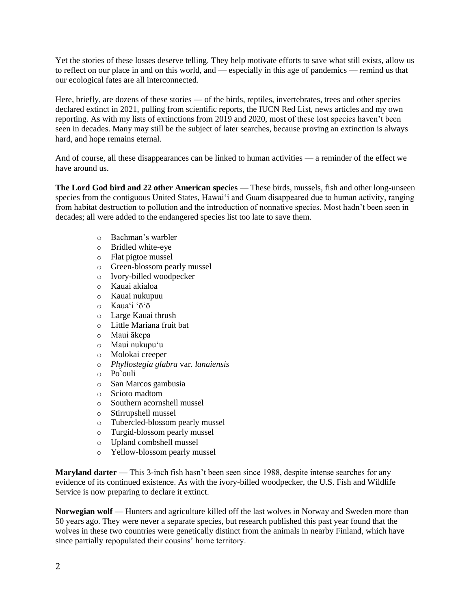Yet the stories of these losses deserve telling. They help motivate efforts to save what still exists, allow us to reflect on our place in and on this world, and — especially in this age of pandemics — remind us that our ecological fates are all interconnected.

Here, briefly, are dozens of these stories — of the birds, reptiles, invertebrates, trees and other species declared extinct in 2021, pulling from scientific reports, the IUCN Red List, news articles and my own reporting. As with my lists of extinctions from [2019](https://therevelator.org/extinction-species-lost-2019/) and [2020,](https://therevelator.org/species-extinct-2020/) most of these lost species haven't been seen in decades. Many may still be the subject of later searches, because proving an extinction is always hard, and hope remains eternal.

And of course, all these disappearances can be linked to human activities — a reminder of the effect we have around us.

**[The Lord God bird and 22 other American species](https://therevelator.org/23-gone-more-to-save/)** — These birds, mussels, fish and other long-unseen species from the contiguous United States, Hawai'i and Guam disappeared due to human activity, ranging from habitat destruction to pollution and the introduction of nonnative species. Most hadn't been seen in decades; all were added to the endangered species list too late to save them.

- o Bachman's warbler
- o Bridled white-eye
- o Flat pigtoe mussel
- o Green-blossom pearly mussel
- o Ivory-billed woodpecker
- o Kauai akialoa
- o Kauai nukupuu
- o Kauaʻi ʻōʻō
- o Large Kauai thrush
- o Little Mariana fruit bat
- o Maui ākepa
- o Maui nukupuʻu
- o Molokai creeper
- o *Phyllostegia glabra* var*. lanaiensis*
- o Po`ouli
- o San Marcos gambusia
- o Scioto madtom
- o Southern acornshell mussel
- o Stirrupshell mussel
- o Tubercled-blossom pearly mussel
- o Turgid-blossom pearly mussel
- o Upland combshell mussel
- o Yellow-blossom pearly mussel

**[Maryland darter](https://www.washingtonian.com/2021/11/18/the-worlds-rarest-fish-could-only-be-found-in-maryland-now-its-probably-extinct/)** — This 3-inch fish hasn't been seen since 1988, despite intense searches for any evidence of its continued existence. As with the ivory-billed woodpecker, the U.S. Fish and Wildlife Service is now preparing to declare it extinct.

**[Norwegian wolf](https://phys.org/news/2021-12-norwegian-wolf-extinct.html)** — Hunters and agriculture killed off the last wolves in Norway and Sweden more than 50 years ago. They were never a separate species, but research published this past year found that the wolves in these two countries were genetically distinct from the animals in nearby Finland, which have since partially repopulated their cousins' home territory.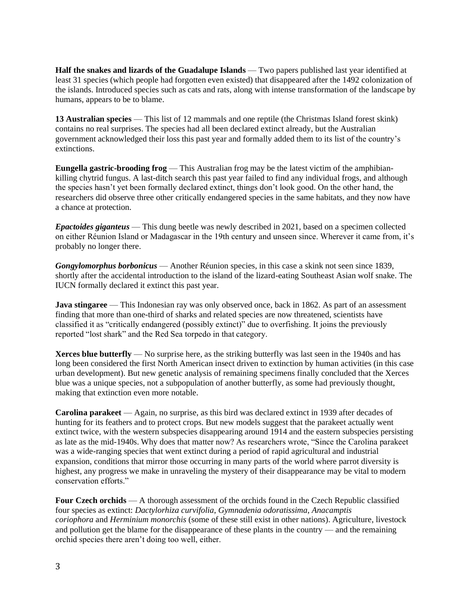**[Half the snakes and lizards of the Guadalupe Islands](https://www.science.org/doi/10.1126/sciadv.abg2111)** — Two papers published last year identified at least 31 species (which people had [forgotten even existed\)](https://therevelator.org/lost-lizard-forgot/) that disappeared after the 1492 colonization of the islands. Introduced species such as cats and rats, along with intense transformation of the landscape by humans, appears to be to blame.

**[13 Australian species](https://www.theguardian.com/science/2021/mar/03/australia-confirms-extinction-of-13-more-species-including-first-reptile-since-colonisation?fbclid=IwAR3wCs7B75KxjBJhE1WAReW_vIQ7qp8bVynK8P4-_xRlsZEU4Z0mzzch2m0)** — This list of 12 mammals and one reptile (the Christmas Island forest skink) contains no real surprises. The species had all been declared extinct already, but the Australian government acknowledged their loss this past year and formally added them to its list of the country's extinctions.

**[Eungella gastric-brooding frog](https://www.abc.net.au/news/rural/2021-11-15/eungella-gastric-brooding-frog-extinct-cloning-/100595258)** — This Australian frog may be the latest victim of the amphibiankilling chytrid fungus. A last-ditch search this past year failed to find any individual frogs, and although the species hasn't yet been formally declared extinct, things don't look good. On the other hand, the researchers did observe three other critically endangered species in the same habitats, and they now have a chance at protection.

*[Epactoides giganteus](https://zookeys.pensoft.net/article/70130/)* — This dung beetle was newly described in 2021, based on a specimen collected on either Réunion Island or Madagascar in the 19th century and unseen since. Wherever it came from, it's probably no longer there.

*[Gongylomorphus borbonicus](https://www.iucnredlist.org/species/17023321/17023353)* — Another Réunion species, in this case a skink not seen since 1839, shortly after the accidental introduction to the island of the lizard-eating Southeast Asian wolf snake. The IUCN formally declared it extinct this past year.

**[Java stingaree](https://www.sciencedirect.com/science/article/pii/S0960982221011982)** — This Indonesian ray was only observed once, back in 1862. As part of an assessment finding that more than one-third of sharks and related species are now threatened, scientists have classified it as "critically endangered (possibly extinct)" due to overfishing. It joins the previously reported "lost shark" and the Red Sea torpedo in that category.

**[Xerces blue butterfly](https://royalsocietypublishing.org/doi/10.1098/rsbl.2021.0123)** — No surprise here, as the striking butterfly was last seen in the 1940s and has long been considered the first North American insect driven to extinction by human activities (in this case urban development). But new genetic analysis of remaining specimens finally concluded that the Xerces blue was a unique species, not a subpopulation of another butterfly, as some had previously thought, making that extinction even more notable.

**[Carolina parakeet](https://www.cambridge.org/core/journals/bird-conservation-international/article/abs/two-extinctions-of-the-carolina-parakeet-conuropsis-carolinensis/402E120779F8760E4A95B82E0181805B)** — Again, no surprise, as this bird was declared extinct in 1939 after decades of hunting for its feathers and to protect crops. But new models suggest that the parakeet actually went extinct twice, with the western subspecies disappearing around 1914 and the eastern subspecies persisting as late as the mid-1940s. Why does that matter now? As researchers wrote, "Since the Carolina parakeet was a wide-ranging species that went extinct during a period of rapid agricultural and industrial expansion, conditions that mirror those occurring in many parts of the world where parrot diversity is highest, any progress we make in unraveling the mystery of their disappearance may be vital to modern conservation efforts."

**[Four Czech orchids](https://www.mdpi.com/1424-2818/13/2/78/htm)** — A thorough assessment of the orchids found in the Czech Republic classified four species as extinct: *Dactylorhiza curvifolia*, *Gymnadenia odoratissima*, *Anacamptis coriophora* and *Herminium monorchis* (some of these still exist in other nations). Agriculture, livestock and pollution get the blame for the disappearance of these plants in the country — and the remaining orchid species there aren't doing too well, either.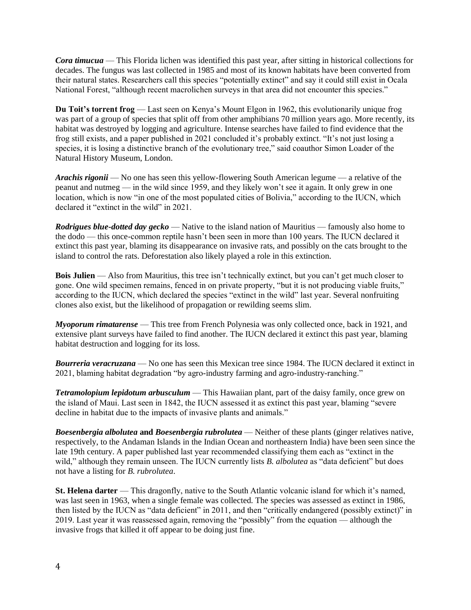*[Cora timucua](https://bioone.org/journals/the-bryologist/volume-123/issue-4/0007-2745-123.4.657/----Custom-HTML----iCora/10.1639/0007-2745-123.4.657.short?tab=ArticleLink)* — This Florida lichen was identified this past year, after sitting in historical collections for decades. The fungus was last collected in 1985 and most of its known habitats have been converted from their natural states. Researchers call this species "potentially extinct" and say it could still exist in Ocala National Forest, "although recent macrolichen surveys in that area did not encounter this species."

**[Du Toit's torrent frog](https://www.nhm.ac.uk/discover/news/2021/may/extinction-of-frog-is-a-huge-blow-to-the-diversity-of-life.html)** — Last seen on Kenya's Mount Elgon in 1962, this evolutionarily unique frog was part of a group of species that split off from other amphibians 70 million years ago. More recently, its habitat was destroyed by logging and agriculture. Intense searches have failed to find evidence that the frog still exists, and a paper published in 2021 concluded it's [probably extinct.](https://www.tandfonline.com/doi/full/10.1080/21564574.2021.1891977) "It's not just losing a species, it is losing a distinctive branch of the evolutionary tree," said coauthor Simon Loader of the Natural History Museum, London.

*[Arachis rigonii](https://www.iucnredlist.org/species/62758119/62758122)* — No one has seen this yellow-flowering South American legume — a relative of the peanut and nutmeg — in the wild since 1959, and they likely won't see it again. It only grew in one location, which is now "in one of the most populated cities of Bolivia," according to the IUCN, which declared it "extinct in the wild" in 2021.

*[Rodrigues blue-dotted day gecko](https://www.iucnredlist.org/species/17432631/17432636)* — Native to the island nation of Mauritius — famously also home to the dodo — this once-common reptile hasn't been seen in more than 100 years. The IUCN declared it extinct this past year, blaming its disappearance on invasive rats, and possibly on the cats brought to the island to control the rats. Deforestation also likely played a role in this extinction.

**[Bois Julien](https://www.iucnredlist.org/species/164111324/164117292)** — Also from Mauritius, this tree isn't technically extinct, but you can't get much closer to gone. One wild specimen remains, fenced in on private property, "but it is not producing viable fruits," according to the IUCN, which declared the species "extinct in the wild" last year. Several nonfruiting clones also exist, but the likelihood of propagation or rewilding seems slim.

*[Myoporum rimatarense](https://www.iucnredlist.org/species/35111/149815846)* — This tree from French Polynesia was only collected once, back in 1921, and extensive plant surveys have failed to find another. The IUCN declared it extinct this past year, blaming habitat destruction and logging for its loss.

*[Bourreria veracruzana](https://www.iucnredlist.org/species/136814105/137376414)* — No one has seen this Mexican tree since 1984. The IUCN declared it extinct in 2021, blaming habitat degradation "by agro-industry farming and agro-industry-ranching."

*[Tetramolopium lepidotum arbusculum](https://www.iucnredlist.org/species/80220824/80220828)* — This Hawaiian plant, part of the daisy family, once grew on the island of Maui. Last seen in 1842, the IUCN assessed it as extinct this past year, blaming "severe decline in habitat due to the impacts of invasive plants and animals."

*Boesenbergia albolutea* **and** *[Boesenbergia rubrolutea](https://threatenedtaxa.org/index.php/JoTT/article/view/6707)* — Neither of these plants (ginger relatives native, respectively, to the Andaman Islands in the Indian Ocean and northeastern India) have been seen since the late 19th century. A paper published last year recommended classifying them each as "extinct in the wild," although they remain unseen. The IUCN currently lists *B. albolutea* as "data deficient" but does not have a listing for *B. rubrolutea*.

**[St. Helena darter](https://www.iucnredlist.org/species/21226/193512121)** — This dragonfly, native to the South Atlantic volcanic island for which it's named, was last seen in 1963, when a single female was collected. The species was assessed as extinct in 1986, then listed by the IUCN as "data deficient" in 2011, and then "critically endangered (possibly extinct)" in 2019. Last year it was reassessed again, removing the "possibly" from the equation — although the invasive frogs that killed it off appear to be doing just fine.